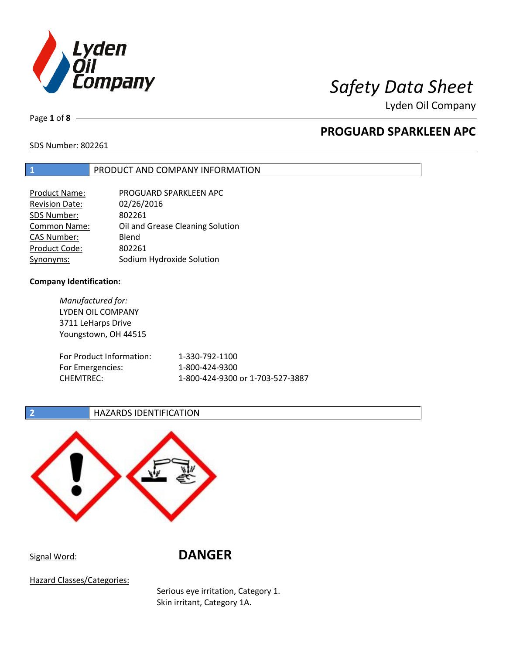

Lyden Oil Company

Page **1** of **8**

# **PROGUARD SPARKLEEN APC**

SDS Number: 802261

### **1** PRODUCT AND COMPANY INFORMATION

| PROGUARD SPARKLEEN APC           |
|----------------------------------|
| 02/26/2016                       |
| 802261                           |
| Oil and Grease Cleaning Solution |
| Blend                            |
| 802261                           |
| Sodium Hydroxide Solution        |
|                                  |

### **Company Identification:**

*Manufactured for:* LYDEN OIL COMPANY 3711 LeHarps Drive Youngstown, OH 44515 For Product Information: 1-330-792-1100 For Emergencies: 1-800-424-9300 CHEMTREC: 1-800-424-9300 or 1-703-527-3887

**2 HAZARDS IDENTIFICATION** 



Signal Word: **DANGER**

Hazard Classes/Categories:

Serious eye irritation, Category 1. Skin irritant, Category 1A.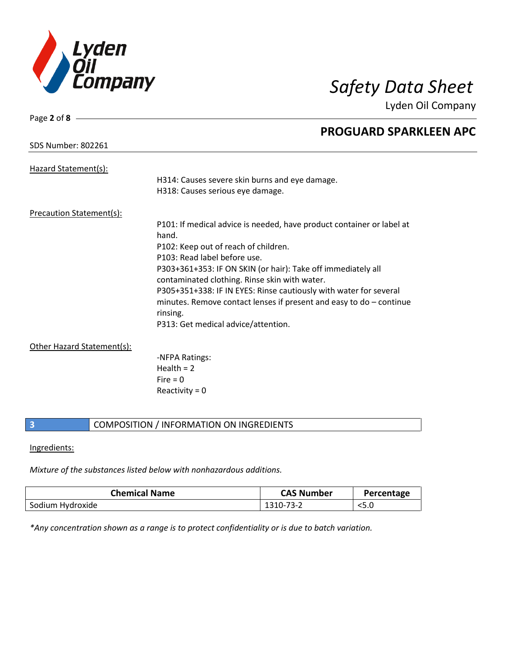

Lyden Oil Company

| Page 2 of $8 -$                 |                                                                       |
|---------------------------------|-----------------------------------------------------------------------|
|                                 | <b>PROGUARD SPARKLEEN APC</b>                                         |
| <b>SDS Number: 802261</b>       |                                                                       |
|                                 |                                                                       |
| Hazard Statement(s):            |                                                                       |
|                                 | H314: Causes severe skin burns and eye damage.                        |
|                                 | H318: Causes serious eye damage.                                      |
| <b>Precaution Statement(s):</b> |                                                                       |
|                                 | P101: If medical advice is needed, have product container or label at |
|                                 | hand.                                                                 |
|                                 | P102: Keep out of reach of children.                                  |
|                                 | P103: Read label before use.                                          |
|                                 | P303+361+353: IF ON SKIN (or hair): Take off immediately all          |
|                                 |                                                                       |
|                                 | contaminated clothing. Rinse skin with water.                         |
|                                 | P305+351+338: IF IN EYES: Rinse cautiously with water for several     |
|                                 | minutes. Remove contact lenses if present and easy to $do$ – continue |
|                                 | rinsing.                                                              |
|                                 | P313: Get medical advice/attention.                                   |
| Other Hazard Statement(s):      |                                                                       |
|                                 | -NFPA Ratings:                                                        |
|                                 | Health $= 2$                                                          |
|                                 |                                                                       |

Fire  $= 0$ Reactivity  $= 0$ 

### **3** COMPOSITION / INFORMATION ON INGREDIENTS

### Ingredients:

*Mixture of the substances listed below with nonhazardous additions.*

| <b>Chemical Name</b> | <b>CAS Number</b> | Percentage |
|----------------------|-------------------|------------|
| Sodium Hydroxide     | 1310-73-2         | <5.0       |

*\*Any concentration shown as a range is to protect confidentiality or is due to batch variation.*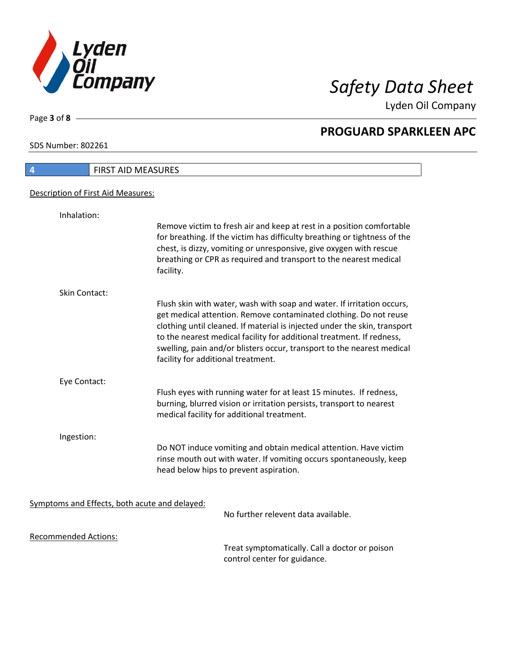

Lyden Oil Company

SDS Number: 802261

Page **3** of **8**

| $\overline{4}$                                | FIRST AID MEASURES                                                                                                                                                                                                                                                                                                                                                                                                |
|-----------------------------------------------|-------------------------------------------------------------------------------------------------------------------------------------------------------------------------------------------------------------------------------------------------------------------------------------------------------------------------------------------------------------------------------------------------------------------|
| Description of First Aid Measures:            |                                                                                                                                                                                                                                                                                                                                                                                                                   |
| Inhalation:                                   |                                                                                                                                                                                                                                                                                                                                                                                                                   |
|                                               | Remove victim to fresh air and keep at rest in a position comfortable<br>for breathing. If the victim has difficulty breathing or tightness of the<br>chest, is dizzy, vomiting or unresponsive, give oxygen with rescue<br>breathing or CPR as required and transport to the nearest medical<br>facility.                                                                                                        |
| Skin Contact:                                 |                                                                                                                                                                                                                                                                                                                                                                                                                   |
|                                               | Flush skin with water, wash with soap and water. If irritation occurs,<br>get medical attention. Remove contaminated clothing. Do not reuse<br>clothing until cleaned. If material is injected under the skin, transport<br>to the nearest medical facility for additional treatment. If redness,<br>swelling, pain and/or blisters occur, transport to the nearest medical<br>facility for additional treatment. |
| Eye Contact:                                  |                                                                                                                                                                                                                                                                                                                                                                                                                   |
|                                               | Flush eyes with running water for at least 15 minutes. If redness,<br>burning, blurred vision or irritation persists, transport to nearest<br>medical facility for additional treatment.                                                                                                                                                                                                                          |
| Ingestion:                                    |                                                                                                                                                                                                                                                                                                                                                                                                                   |
|                                               | Do NOT induce vomiting and obtain medical attention. Have victim<br>rinse mouth out with water. If vomiting occurs spontaneously, keep<br>head below hips to prevent aspiration.                                                                                                                                                                                                                                  |
| Symptoms and Effects, both acute and delayed: |                                                                                                                                                                                                                                                                                                                                                                                                                   |
|                                               | No further relevent data available.                                                                                                                                                                                                                                                                                                                                                                               |
| <b>Recommended Actions:</b>                   |                                                                                                                                                                                                                                                                                                                                                                                                                   |
|                                               | $\tau$ aa ah araa ahaan ah aalka Ilaa $\sigma$ allaa da ahaan ah aa                                                                                                                                                                                                                                                                                                                                               |

Treat symptomatically. Call a doctor or poison control center for guidance.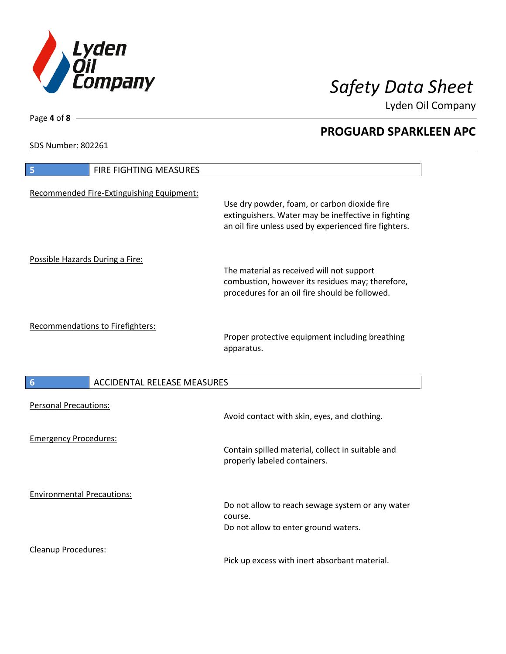

Lyden Oil Company

SDS Number: 802261

Cleanup Procedures:

| FIRE FIGHTING MEASURES<br>5                           |                                                                                                                                                              |
|-------------------------------------------------------|--------------------------------------------------------------------------------------------------------------------------------------------------------------|
| Recommended Fire-Extinguishing Equipment:             | Use dry powder, foam, or carbon dioxide fire<br>extinguishers. Water may be ineffective in fighting<br>an oil fire unless used by experienced fire fighters. |
| Possible Hazards During a Fire:                       | The material as received will not support<br>combustion, however its residues may; therefore,<br>procedures for an oil fire should be followed.              |
| Recommendations to Firefighters:                      | Proper protective equipment including breathing<br>apparatus.                                                                                                |
| <b>ACCIDENTAL RELEASE MEASURES</b><br>$6\phantom{1}6$ |                                                                                                                                                              |
| <b>Personal Precautions:</b>                          |                                                                                                                                                              |
|                                                       | Avoid contact with skin, eyes, and clothing.                                                                                                                 |
| <b>Emergency Procedures:</b>                          | Contain spilled material, collect in suitable and<br>properly labeled containers.                                                                            |

Pick up excess with inert absorbant material.

Page **4** of **8**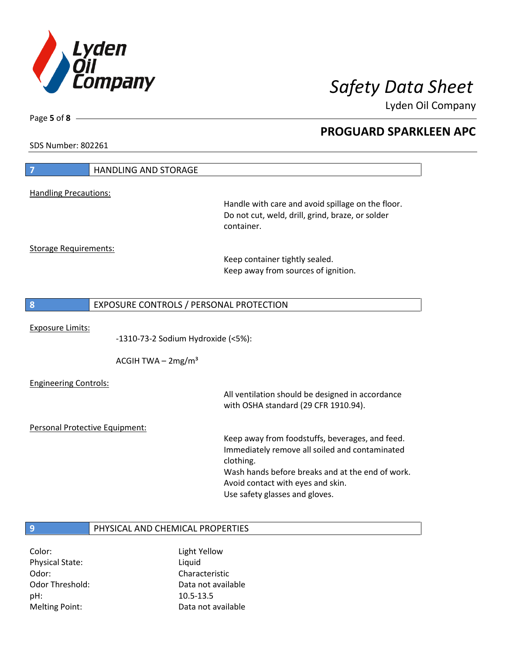

Lyden Oil Company

SDS Number: 802261

Page **5** of **8**

| $\overline{7}$                 | <b>HANDLING AND STORAGE</b>             |                                                                                                                     |
|--------------------------------|-----------------------------------------|---------------------------------------------------------------------------------------------------------------------|
|                                |                                         |                                                                                                                     |
| <b>Handling Precautions:</b>   |                                         | Handle with care and avoid spillage on the floor.<br>Do not cut, weld, drill, grind, braze, or solder<br>container. |
| <b>Storage Requirements:</b>   |                                         |                                                                                                                     |
|                                |                                         | Keep container tightly sealed.<br>Keep away from sources of ignition.                                               |
| 8                              | EXPOSURE CONTROLS / PERSONAL PROTECTION |                                                                                                                     |
|                                |                                         |                                                                                                                     |
| <b>Exposure Limits:</b>        | -1310-73-2 Sodium Hydroxide (<5%):      |                                                                                                                     |
|                                | ACGIH TWA $-2mg/m3$                     |                                                                                                                     |
| <b>Engineering Controls:</b>   |                                         | All ventilation should be designed in accordance<br>with OSHA standard (29 CFR 1910.94).                            |
| Personal Protective Equipment: |                                         |                                                                                                                     |
|                                |                                         | Keep away from foodstuffs, beverages, and feed.<br>Immediately remove all soiled and contaminated<br>clothing.      |
|                                |                                         | Wash hands before breaks and at the end of work.<br>Avoid contact with eyes and skin.                               |
|                                |                                         | Use safety glasses and gloves.                                                                                      |
|                                |                                         |                                                                                                                     |

Color: Light Yellow Physical State: Liquid Odor: Characteristic pH: 10.5-13.5 Melting Point: Case Controller Muslim Data not available

Odor Threshold: Data not available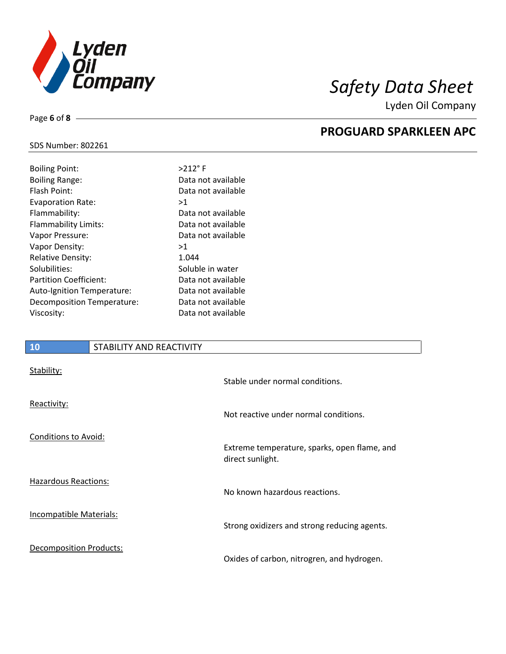

Lyden Oil Company

### SDS Number: 802261

Page **6** of **8**

| <b>Boiling Point:</b>         | $>212$ °F          |
|-------------------------------|--------------------|
| <b>Boiling Range:</b>         | Data not available |
| Flash Point:                  | Data not available |
| Evaporation Rate:             | >1                 |
| Flammability:                 | Data not available |
| Flammability Limits:          | Data not available |
| Vapor Pressure:               | Data not available |
| Vapor Density:                | >1                 |
| <b>Relative Density:</b>      | 1.044              |
| Solubilities:                 | Soluble in water   |
| <b>Partition Coefficient:</b> | Data not available |
| Auto-Ignition Temperature:    | Data not available |
| Decomposition Temperature:    | Data not available |
| Viscosity:                    | Data not available |
|                               |                    |

### **10** STABILITY AND REACTIVITY

| Stability:                     | Stable under normal conditions.                                  |
|--------------------------------|------------------------------------------------------------------|
| Reactivity:                    | Not reactive under normal conditions.                            |
| Conditions to Avoid:           | Extreme temperature, sparks, open flame, and<br>direct sunlight. |
| <b>Hazardous Reactions:</b>    | No known hazardous reactions.                                    |
| <b>Incompatible Materials:</b> | Strong oxidizers and strong reducing agents.                     |
| <b>Decomposition Products:</b> | Oxides of carbon, nitrogren, and hydrogen.                       |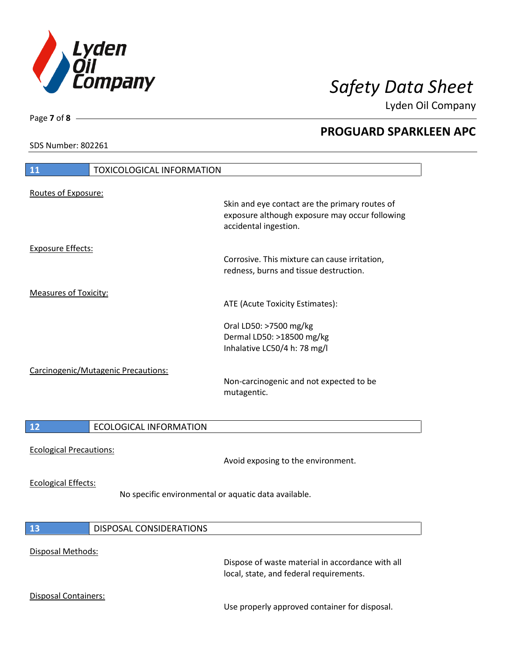

Lyden Oil Company

SDS Number: 802261

Page **7** of **8**

# **11** TOXICOLOGICAL INFORMATION Routes of Exposure: Skin and eye contact are the primary routes of exposure although exposure may occur following accidental ingestion. Exposure Effects: Corrosive. This mixture can cause irritation, redness, burns and tissue destruction. Measures of Toxicity: ATE (Acute Toxicity Estimates): Oral LD50: >7500 mg/kg Dermal LD50: >18500 mg/kg Inhalative LC50/4 h: 78 mg/l Carcinogenic/Mutagenic Precautions: Non-carcinogenic and not expected to be mutagentic. **12** ECOLOGICAL INFORMATION Ecological Precautions: Avoid exposing to the environment. Ecological Effects: No specific environmental or aquatic data available. **13** DISPOSAL CONSIDERATIONS Disposal Methods:

Dispose of waste material in accordance with all local, state, and federal requirements.

Disposal Containers:

Use properly approved container for disposal.